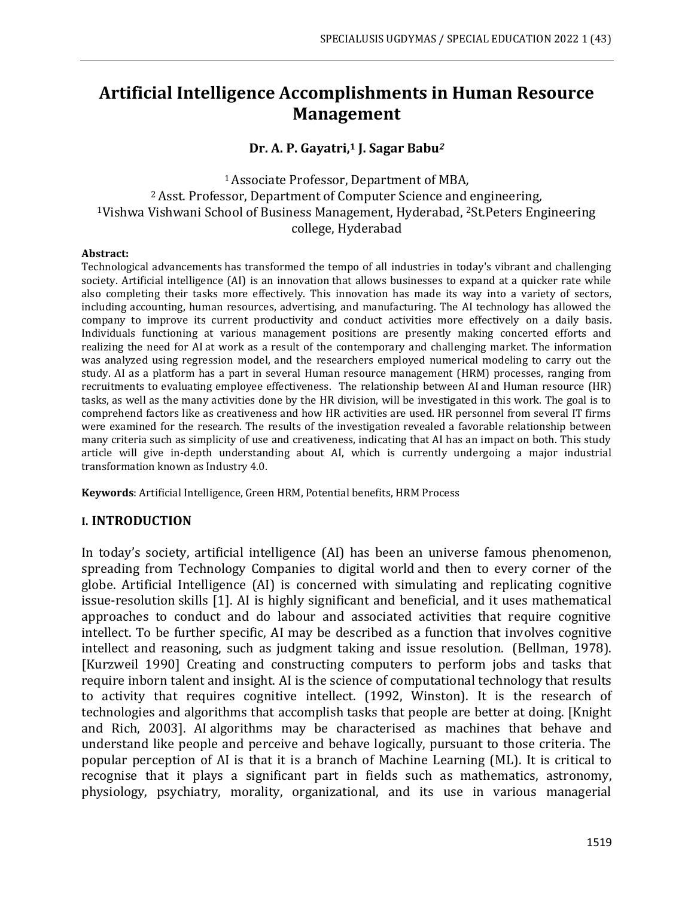## **Artificial Intelligence Accomplishments in Human Resource Management**

### **Dr. A. P. Gayatri,<sup>1</sup> J. Sagar Babu***<sup>2</sup>*

### <sup>1</sup>Associate Professor, Department of MBA*,* <sup>2</sup>Asst. Professor, Department of Computer Science and engineering*,* <sup>1</sup>Vishwa Vishwani School of Business Management, Hyderabad, <sup>2</sup>St.Peters Engineering college, Hyderabad

#### **Abstract:**

Technological advancements has transformed the tempo of all industries in today's vibrant and challenging society. Artificial intelligence (AI) is an innovation that allows businesses to expand at a quicker rate while also completing their tasks more effectively. This innovation has made its way into a variety of sectors, including accounting, human resources, advertising, and manufacturing. The AI technology has allowed the company to improve its current productivity and conduct activities more effectively on a daily basis. Individuals functioning at various management positions are presently making concerted efforts and realizing the need for AI at work as a result of the contemporary and challenging market. The information was analyzed using regression model, and the researchers employed numerical modeling to carry out the study. AI as a platform has a part in several Human resource management (HRM) processes, ranging from recruitments to evaluating employee effectiveness. The relationship between AI and Human resource (HR) tasks, as well as the many activities done by the HR division, will be investigated in this work. The goal is to comprehend factors like as creativeness and how HR activities are used. HR personnel from several IT firms were examined for the research. The results of the investigation revealed a favorable relationship between many criteria such as simplicity of use and creativeness, indicating that AI has an impact on both. This study article will give in-depth understanding about AI, which is currently undergoing a major industrial transformation known as Industry 4.0.

**Keywords**: Artificial Intelligence, Green HRM, Potential benefits, HRM Process

### **I. INTRODUCTION**

In today's society, artificial intelligence (AI) has been an universe famous phenomenon, spreading from Technology Companies to digital world and then to every corner of the globe. Artificial Intelligence (AI) is concerned with simulating and replicating cognitive issue-resolution skills [1]. AI is highly significant and beneficial, and it uses mathematical approaches to conduct and do labour and associated activities that require cognitive intellect. To be further specific, AI may be described as a function that involves cognitive intellect and reasoning, such as judgment taking and issue resolution. (Bellman, 1978). [Kurzweil 1990] Creating and constructing computers to perform jobs and tasks that require inborn talent and insight. AI is the science of computational technology that results to activity that requires cognitive intellect. (1992, Winston). It is the research of technologies and algorithms that accomplish tasks that people are better at doing. [Knight and Rich, 2003]. AI algorithms may be characterised as machines that behave and understand like people and perceive and behave logically, pursuant to those criteria. The popular perception of AI is that it is a branch of Machine Learning (ML). It is critical to recognise that it plays a significant part in fields such as mathematics, astronomy, physiology, psychiatry, morality, organizational, and its use in various managerial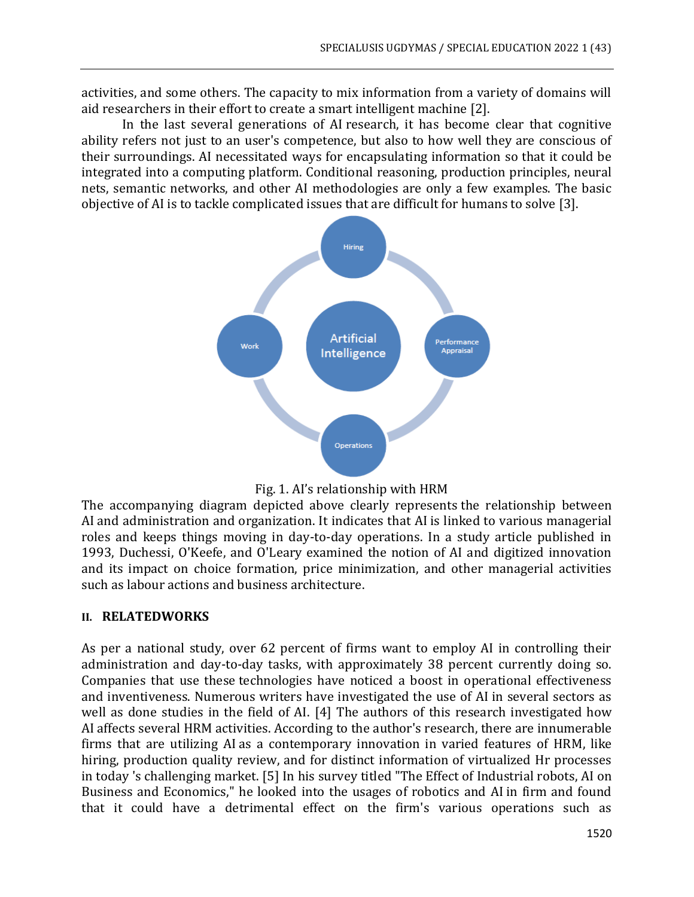activities, and some others. The capacity to mix information from a variety of domains will aid researchers in their effort to create a smart intelligent machine [2].

In the last several generations of AI research, it has become clear that cognitive ability refers not just to an user's competence, but also to how well they are conscious of their surroundings. AI necessitated ways for encapsulating information so that it could be integrated into a computing platform. Conditional reasoning, production principles, neural nets, semantic networks, and other AI methodologies are only a few examples. The basic objective of AI is to tackle complicated issues that are difficult for humans to solve [3].





The accompanying diagram depicted above clearly represents the relationship between AI and administration and organization. It indicates that AI is linked to various managerial roles and keeps things moving in day-to-day operations. In a study article published in 1993, Duchessi, O'Keefe, and O'Leary examined the notion of AI and digitized innovation and its impact on choice formation, price minimization, and other managerial activities such as labour actions and business architecture.

### **II. RELATEDWORKS**

As per a national study, over 62 percent of firms want to employ AI in controlling their administration and day-to-day tasks, with approximately 38 percent currently doing so. Companies that use these technologies have noticed a boost in operational effectiveness and inventiveness. Numerous writers have investigated the use of AI in several sectors as well as done studies in the field of AI. [4] The authors of this research investigated how AI affects several HRM activities. According to the author's research, there are innumerable firms that are utilizing AI as a contemporary innovation in varied features of HRM, like hiring, production quality review, and for distinct information of virtualized Hr processes in today 's challenging market. [5] In his survey titled "The Effect of Industrial robots, AI on Business and Economics," he looked into the usages of robotics and AI in firm and found that it could have a detrimental effect on the firm's various operations such as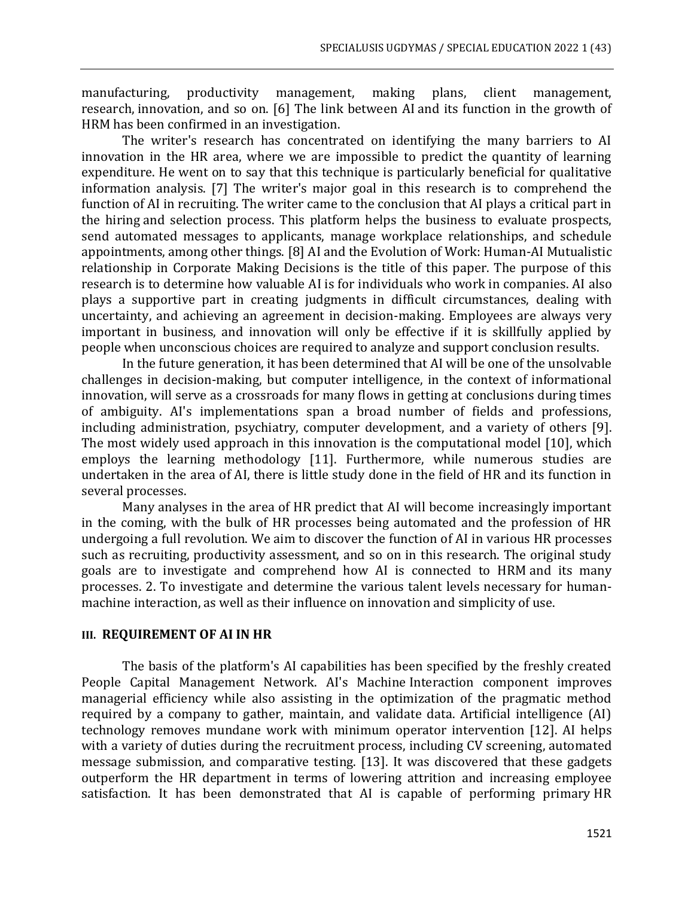manufacturing, productivity management, making plans, client management, research, innovation, and so on. [6] The link between AI and its function in the growth of HRM has been confirmed in an investigation.

The writer's research has concentrated on identifying the many barriers to AI innovation in the HR area, where we are impossible to predict the quantity of learning expenditure. He went on to say that this technique is particularly beneficial for qualitative information analysis. [7] The writer's major goal in this research is to comprehend the function of AI in recruiting. The writer came to the conclusion that AI plays a critical part in the hiring and selection process. This platform helps the business to evaluate prospects, send automated messages to applicants, manage workplace relationships, and schedule appointments, among other things. [8] AI and the Evolution of Work: Human-AI Mutualistic relationship in Corporate Making Decisions is the title of this paper. The purpose of this research is to determine how valuable AI is for individuals who work in companies. AI also plays a supportive part in creating judgments in difficult circumstances, dealing with uncertainty, and achieving an agreement in decision-making. Employees are always very important in business, and innovation will only be effective if it is skillfully applied by people when unconscious choices are required to analyze and support conclusion results.

In the future generation, it has been determined that AI will be one of the unsolvable challenges in decision-making, but computer intelligence, in the context of informational innovation, will serve as a crossroads for many flows in getting at conclusions during times of ambiguity. AI's implementations span a broad number of fields and professions, including administration, psychiatry, computer development, and a variety of others [9]. The most widely used approach in this innovation is the computational model [10], which employs the learning methodology [11]. Furthermore, while numerous studies are undertaken in the area of AI, there is little study done in the field of HR and its function in several processes.

Many analyses in the area of HR predict that AI will become increasingly important in the coming, with the bulk of HR processes being automated and the profession of HR undergoing a full revolution. We aim to discover the function of AI in various HR processes such as recruiting, productivity assessment, and so on in this research. The original study goals are to investigate and comprehend how AI is connected to HRM and its many processes. 2. To investigate and determine the various talent levels necessary for humanmachine interaction, as well as their influence on innovation and simplicity of use.

### **III. REQUIREMENT OF AI IN HR**

The basis of the platform's AI capabilities has been specified by the freshly created People Capital Management Network. AI's Machine Interaction component improves managerial efficiency while also assisting in the optimization of the pragmatic method required by a company to gather, maintain, and validate data. Artificial intelligence (AI) technology removes mundane work with minimum operator intervention [12]. AI helps with a variety of duties during the recruitment process, including CV screening, automated message submission, and comparative testing. [13]. It was discovered that these gadgets outperform the HR department in terms of lowering attrition and increasing employee satisfaction. It has been demonstrated that AI is capable of performing primary HR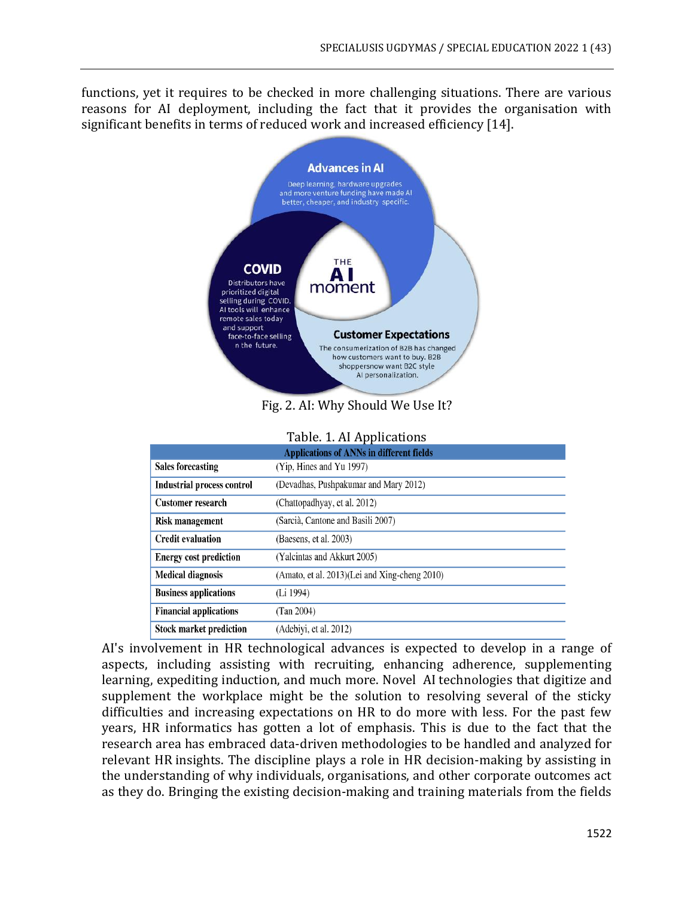functions, yet it requires to be checked in more challenging situations. There are various reasons for AI deployment, including the fact that it provides the organisation with significant benefits in terms of reduced work and increased efficiency [14].



Fig. 2. AI: Why Should We Use It?

### Table. 1. AI Applications

| <b>Applications of ANNs in different fields</b> |                                               |  |  |  |  |  |
|-------------------------------------------------|-----------------------------------------------|--|--|--|--|--|
| <b>Sales forecasting</b>                        | (Yip, Hines and Yu 1997)                      |  |  |  |  |  |
| <b>Industrial process control</b>               | (Devadhas, Pushpakumar and Mary 2012)         |  |  |  |  |  |
| <b>Customer research</b>                        | (Chattopadhyay, et al. 2012)                  |  |  |  |  |  |
| <b>Risk management</b>                          | (Sarcià, Cantone and Basili 2007)             |  |  |  |  |  |
| <b>Credit evaluation</b>                        | (Baesens, et al. 2003)                        |  |  |  |  |  |
| <b>Energy cost prediction</b>                   | (Yalcintas and Akkurt 2005)                   |  |  |  |  |  |
| <b>Medical diagnosis</b>                        | (Amato, et al. 2013)(Lei and Xing-cheng 2010) |  |  |  |  |  |
| <b>Business applications</b>                    | (Li 1994)                                     |  |  |  |  |  |
| <b>Financial applications</b>                   | (Tan 2004)                                    |  |  |  |  |  |
| <b>Stock market prediction</b>                  | (Adebiyi, et al. 2012)                        |  |  |  |  |  |

AI's involvement in HR technological advances is expected to develop in a range of aspects, including assisting with recruiting, enhancing adherence, supplementing learning, expediting induction, and much more. Novel AI technologies that digitize and supplement the workplace might be the solution to resolving several of the sticky difficulties and increasing expectations on HR to do more with less. For the past few years, HR informatics has gotten a lot of emphasis. This is due to the fact that the research area has embraced data-driven methodologies to be handled and analyzed for relevant HR insights. The discipline plays a role in HR decision-making by assisting in the understanding of why individuals, organisations, and other corporate outcomes act as they do. Bringing the existing decision-making and training materials from the fields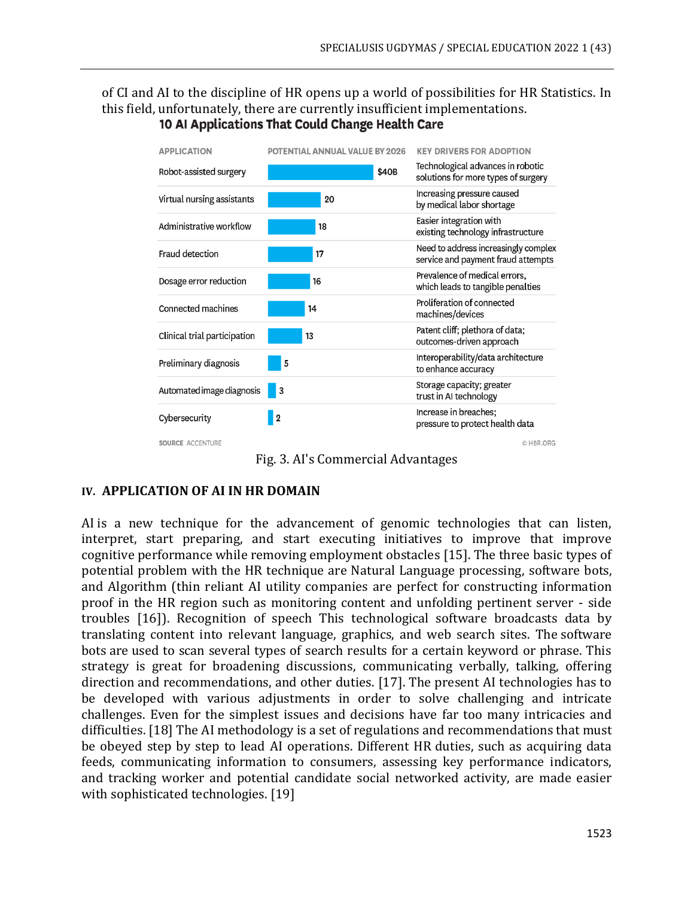# of CI and AI to the discipline of HR opens up a world of possibilities for HR Statistics. In this field, unfortunately, there are currently insufficient implementations.<br>**10 Al Applications That Could Change Health Care**

| <b>APPLICATION</b>           | POTENTIAL ANNUAL VALUE BY 2026 |       | <b>KEY DRIVERS FOR ADOPTION</b>                                            |
|------------------------------|--------------------------------|-------|----------------------------------------------------------------------------|
| Robot-assisted surgery       |                                | \$40B | Technological advances in robotic<br>solutions for more types of surgery   |
| Virtual nursing assistants   | 20                             |       | Increasing pressure caused<br>by medical labor shortage                    |
| Administrative workflow      | 18                             |       | Easier integration with<br>existing technology infrastructure              |
| Fraud detection              | 17                             |       | Need to address increasingly complex<br>service and payment fraud attempts |
| Dosage error reduction       | 16                             |       | Prevalence of medical errors,<br>which leads to tangible penalties         |
| Connected machines           | 14                             |       | Proliferation of connected<br>machines/devices                             |
| Clinical trial participation | 13                             |       | Patent cliff; plethora of data;<br>outcomes-driven approach                |
| Preliminary diagnosis        | 5                              |       | Interoperability/data architecture<br>to enhance accuracy                  |
| Automated image diagnosis    | 3                              |       | Storage capacity; greater<br>trust in AI technology                        |
| Cybersecurity                | $\overline{2}$                 |       | Increase in breaches;<br>pressure to protect health data                   |
| SOURCE ACCENTURE             |                                |       | C HBR.ORG                                                                  |

Fig. 3. AI's Commercial Advantages

## **IV. APPLICATION OF AI IN HR DOMAIN**

AI is a new technique for the advancement of genomic technologies that can listen, interpret, start preparing, and start executing initiatives to improve that improve cognitive performance while removing employment obstacles [15]. The three basic types of potential problem with the HR technique are Natural Language processing, software bots, and Algorithm (thin reliant AI utility companies are perfect for constructing information proof in the HR region such as monitoring content and unfolding pertinent server - side troubles [16]). Recognition of speech This technological software broadcasts data by translating content into relevant language, graphics, and web search sites. The software bots are used to scan several types of search results for a certain keyword or phrase. This strategy is great for broadening discussions, communicating verbally, talking, offering direction and recommendations, and other duties. [17]. The present AI technologies has to be developed with various adjustments in order to solve challenging and intricate challenges. Even for the simplest issues and decisions have far too many intricacies and difficulties. [18] The AI methodology is a set of regulations and recommendations that must be obeyed step by step to lead AI operations. Different HR duties, such as acquiring data feeds, communicating information to consumers, assessing key performance indicators, and tracking worker and potential candidate social networked activity, are made easier with sophisticated technologies. [19]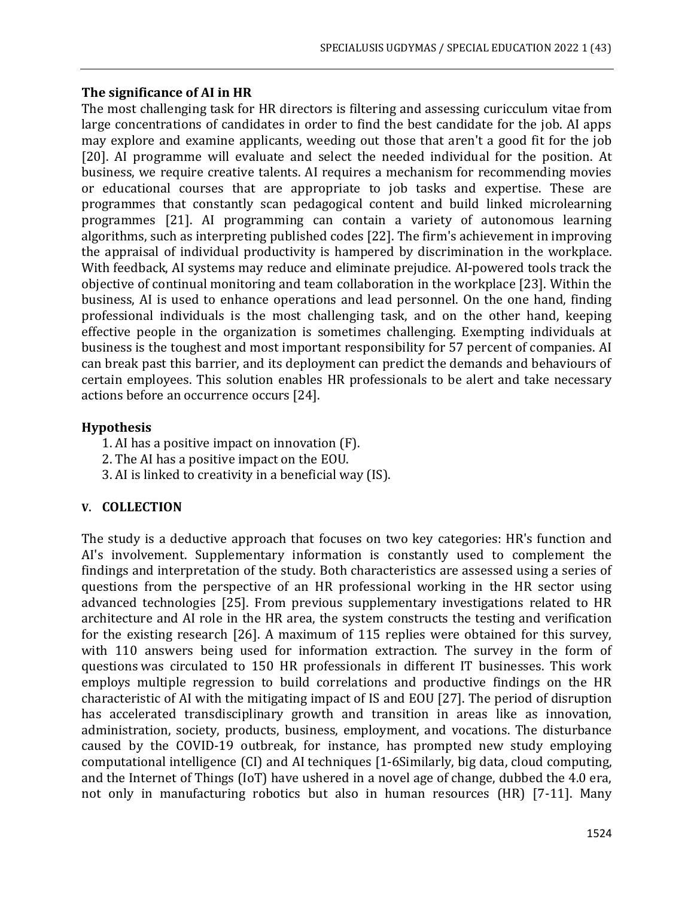### **The significance of AI in HR**

The most challenging task for HR directors is filtering and assessing curicculum vitae from large concentrations of candidates in order to find the best candidate for the job. AI apps may explore and examine applicants, weeding out those that aren't a good fit for the job [20]. AI programme will evaluate and select the needed individual for the position. At business, we require creative talents. AI requires a mechanism for recommending movies or educational courses that are appropriate to job tasks and expertise. These are programmes that constantly scan pedagogical content and build linked microlearning programmes [21]. AI programming can contain a variety of autonomous learning algorithms, such as interpreting published codes [22]. The firm's achievement in improving the appraisal of individual productivity is hampered by discrimination in the workplace. With feedback, AI systems may reduce and eliminate prejudice. AI-powered tools track the objective of continual monitoring and team collaboration in the workplace [23]. Within the business, AI is used to enhance operations and lead personnel. On the one hand, finding professional individuals is the most challenging task, and on the other hand, keeping effective people in the organization is sometimes challenging. Exempting individuals at business is the toughest and most important responsibility for 57 percent of companies. AI can break past this barrier, and its deployment can predict the demands and behaviours of certain employees. This solution enables HR professionals to be alert and take necessary actions before an occurrence occurs [24].

### **Hypothesis**

- 1. AI has a positive impact on innovation (F).
- 2. The AI has a positive impact on the EOU.
- 3. AI is linked to creativity in a beneficial way (IS).

### **V. COLLECTION**

The study is a deductive approach that focuses on two key categories: HR's function and AI's involvement. Supplementary information is constantly used to complement the findings and interpretation of the study. Both characteristics are assessed using a series of questions from the perspective of an HR professional working in the HR sector using advanced technologies [25]. From previous supplementary investigations related to HR architecture and AI role in the HR area, the system constructs the testing and verification for the existing research [26]. A maximum of 115 replies were obtained for this survey, with 110 answers being used for information extraction. The survey in the form of questions was circulated to 150 HR professionals in different IT businesses. This work employs multiple regression to build correlations and productive findings on the HR characteristic of AI with the mitigating impact of IS and EOU [27]. The period of disruption has accelerated transdisciplinary growth and transition in areas like as innovation, administration, society, products, business, employment, and vocations. The disturbance caused by the COVID-19 outbreak, for instance, has prompted new study employing computational intelligence (CI) and AI techniques [1-6Similarly, big data, cloud computing, and the Internet of Things (IoT) have ushered in a novel age of change, dubbed the 4.0 era, not only in manufacturing robotics but also in human resources (HR) [7-11]. Many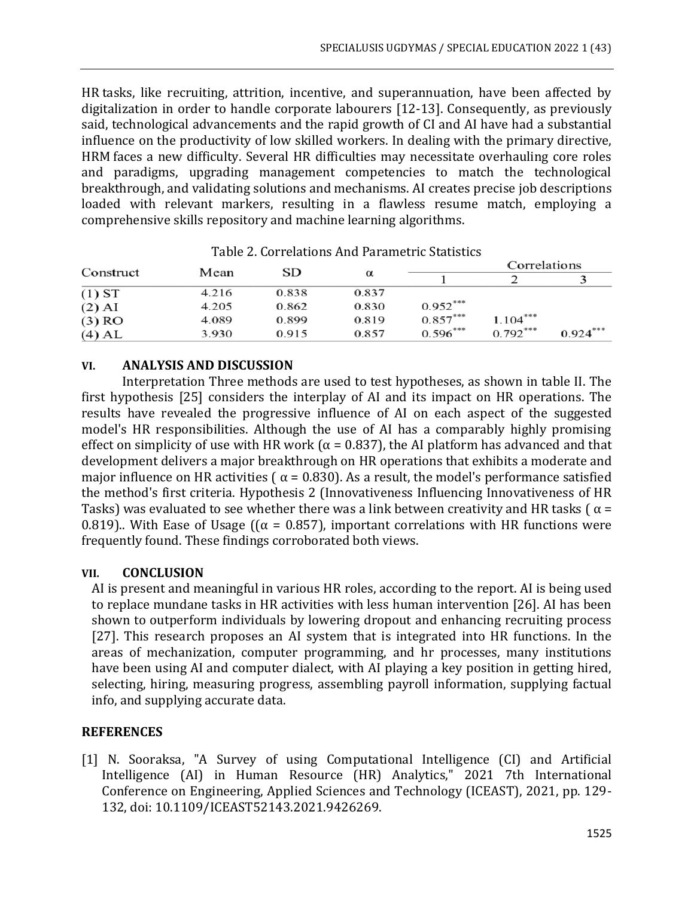HR tasks, like recruiting, attrition, incentive, and superannuation, have been affected by digitalization in order to handle corporate labourers [12-13]. Consequently, as previously said, technological advancements and the rapid growth of CI and AI have had a substantial influence on the productivity of low skilled workers. In dealing with the primary directive, HRM faces a new difficulty. Several HR difficulties may necessitate overhauling core roles and paradigms, upgrading management competencies to match the technological breakthrough, and validating solutions and mechanisms. AI creates precise job descriptions loaded with relevant markers, resulting in a flawless resume match, employing a comprehensive skills repository and machine learning algorithms.

| Construct | Mean  | SD    | $\alpha$ |            | Correlations |            |  |
|-----------|-------|-------|----------|------------|--------------|------------|--|
|           |       |       |          |            |              |            |  |
| $(1)$ ST  | 4.216 | 0.838 | 0.837    |            |              |            |  |
| $(2)$ AI  | 4.205 | 0.862 | 0.830    | $0.952***$ |              |            |  |
| $(3)$ RO  | 4.089 | 0.899 | 0.819    | $0.857***$ | $1.104***$   |            |  |
| $(4)$ AL  | 3.930 | 0.915 | 0.857    | $0.596***$ | $0.792***$   | $0.924***$ |  |

Table 2. Correlations And Parametric Statistics

### **VI. ANALYSIS AND DISCUSSION**

Interpretation Three methods are used to test hypotheses, as shown in table II. The first hypothesis [25] considers the interplay of AI and its impact on HR operations. The results have revealed the progressive influence of AI on each aspect of the suggested model's HR responsibilities. Although the use of AI has a comparably highly promising effect on simplicity of use with HR work ( $\alpha$  = 0.837), the AI platform has advanced and that development delivers a major breakthrough on HR operations that exhibits a moderate and major influence on HR activities ( $\alpha$  = 0.830). As a result, the model's performance satisfied the method's first criteria. Hypothesis 2 (Innovativeness Influencing Innovativeness of HR Tasks) was evaluated to see whether there was a link between creativity and HR tasks ( $\alpha$  = 0.819).. With Ease of Usage ( $(\alpha = 0.857)$ , important correlations with HR functions were frequently found. These findings corroborated both views.

### **VII. CONCLUSION**

AI is present and meaningful in various HR roles, according to the report. AI is being used to replace mundane tasks in HR activities with less human intervention [26]. AI has been shown to outperform individuals by lowering dropout and enhancing recruiting process [27]. This research proposes an AI system that is integrated into HR functions. In the areas of mechanization, computer programming, and hr processes, many institutions have been using AI and computer dialect, with AI playing a key position in getting hired, selecting, hiring, measuring progress, assembling payroll information, supplying factual info, and supplying accurate data.

### **REFERENCES**

[1] N. Sooraksa, "A Survey of using Computational Intelligence (CI) and Artificial Intelligence (AI) in Human Resource (HR) Analytics," 2021 7th International Conference on Engineering, Applied Sciences and Technology (ICEAST), 2021, pp. 129- 132, doi: 10.1109/ICEAST52143.2021.9426269.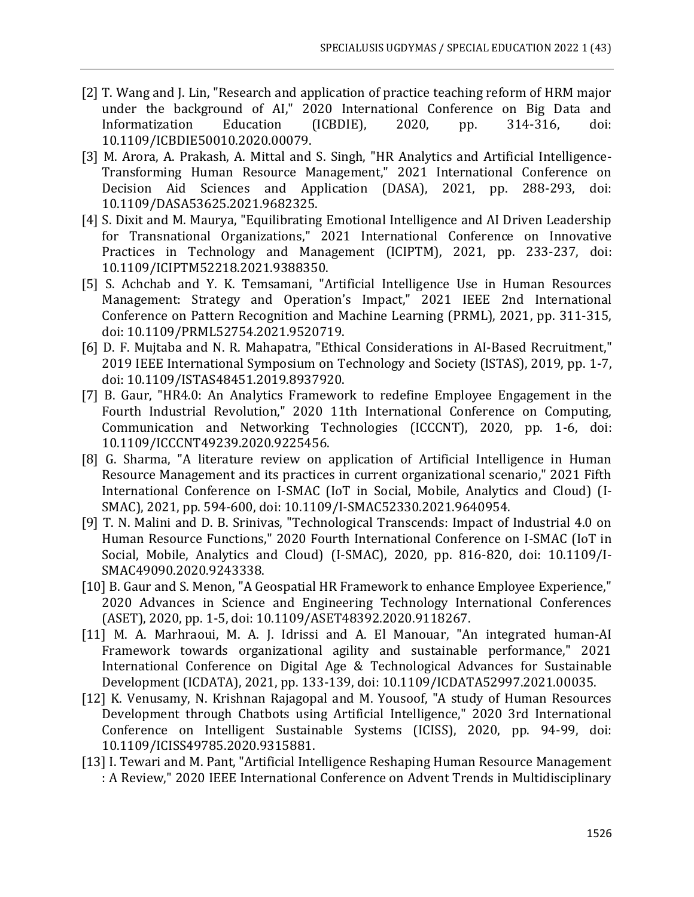- [2] T. Wang and J. Lin, "Research and application of practice teaching reform of HRM major under the background of AI," 2020 International Conference on Big Data and Informatization Education (ICBDIE), 2020, pp. 314-316, doi: 10.1109/ICBDIE50010.2020.00079.
- [3] M. Arora, A. Prakash, A. Mittal and S. Singh, "HR Analytics and Artificial Intelligence-Transforming Human Resource Management," 2021 International Conference on Decision Aid Sciences and Application (DASA), 2021, pp. 288-293, doi: 10.1109/DASA53625.2021.9682325.
- [4] S. Dixit and M. Maurya, "Equilibrating Emotional Intelligence and AI Driven Leadership for Transnational Organizations," 2021 International Conference on Innovative Practices in Technology and Management (ICIPTM), 2021, pp. 233-237, doi: 10.1109/ICIPTM52218.2021.9388350.
- [5] S. Achchab and Y. K. Temsamani, "Artificial Intelligence Use in Human Resources Management: Strategy and Operation's Impact," 2021 IEEE 2nd International Conference on Pattern Recognition and Machine Learning (PRML), 2021, pp. 311-315, doi: 10.1109/PRML52754.2021.9520719.
- [6] D. F. Mujtaba and N. R. Mahapatra, "Ethical Considerations in AI-Based Recruitment," 2019 IEEE International Symposium on Technology and Society (ISTAS), 2019, pp. 1-7, doi: 10.1109/ISTAS48451.2019.8937920.
- [7] B. Gaur, "HR4.0: An Analytics Framework to redefine Employee Engagement in the Fourth Industrial Revolution," 2020 11th International Conference on Computing, Communication and Networking Technologies (ICCCNT), 2020, pp. 1-6, doi: 10.1109/ICCCNT49239.2020.9225456.
- [8] G. Sharma, "A literature review on application of Artificial Intelligence in Human Resource Management and its practices in current organizational scenario," 2021 Fifth International Conference on I-SMAC (IoT in Social, Mobile, Analytics and Cloud) (I-SMAC), 2021, pp. 594-600, doi: 10.1109/I-SMAC52330.2021.9640954.
- [9] T. N. Malini and D. B. Srinivas, "Technological Transcends: Impact of Industrial 4.0 on Human Resource Functions," 2020 Fourth International Conference on I-SMAC (IoT in Social, Mobile, Analytics and Cloud) (I-SMAC), 2020, pp. 816-820, doi: 10.1109/I-SMAC49090.2020.9243338.
- [10] B. Gaur and S. Menon, "A Geospatial HR Framework to enhance Employee Experience," 2020 Advances in Science and Engineering Technology International Conferences (ASET), 2020, pp. 1-5, doi: 10.1109/ASET48392.2020.9118267.
- [11] M. A. Marhraoui, M. A. J. Idrissi and A. El Manouar, "An integrated human-AI Framework towards organizational agility and sustainable performance," 2021 International Conference on Digital Age & Technological Advances for Sustainable Development (ICDATA), 2021, pp. 133-139, doi: 10.1109/ICDATA52997.2021.00035.
- [12] K. Venusamy, N. Krishnan Rajagopal and M. Yousoof, "A study of Human Resources Development through Chatbots using Artificial Intelligence," 2020 3rd International Conference on Intelligent Sustainable Systems (ICISS), 2020, pp. 94-99, doi: 10.1109/ICISS49785.2020.9315881.
- [13] I. Tewari and M. Pant, "Artificial Intelligence Reshaping Human Resource Management : A Review," 2020 IEEE International Conference on Advent Trends in Multidisciplinary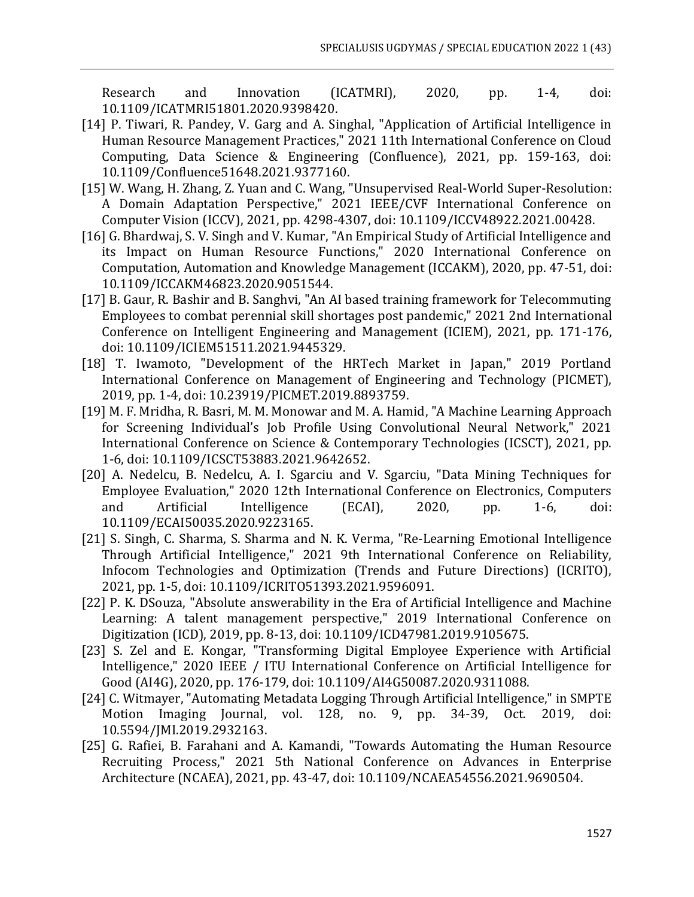Research and Innovation (ICATMRI), 2020, pp. 1-4, doi: 10.1109/ICATMRI51801.2020.9398420.

- [14] P. Tiwari, R. Pandey, V. Garg and A. Singhal, "Application of Artificial Intelligence in Human Resource Management Practices," 2021 11th International Conference on Cloud Computing, Data Science & Engineering (Confluence), 2021, pp. 159-163, doi: 10.1109/Confluence51648.2021.9377160.
- [15] W. Wang, H. Zhang, Z. Yuan and C. Wang, "Unsupervised Real-World Super-Resolution: A Domain Adaptation Perspective," 2021 IEEE/CVF International Conference on Computer Vision (ICCV), 2021, pp. 4298-4307, doi: 10.1109/ICCV48922.2021.00428.
- [16] G. Bhardwaj, S. V. Singh and V. Kumar, "An Empirical Study of Artificial Intelligence and its Impact on Human Resource Functions," 2020 International Conference on Computation, Automation and Knowledge Management (ICCAKM), 2020, pp. 47-51, doi: 10.1109/ICCAKM46823.2020.9051544.
- [17] B. Gaur, R. Bashir and B. Sanghvi, "An AI based training framework for Telecommuting Employees to combat perennial skill shortages post pandemic," 2021 2nd International Conference on Intelligent Engineering and Management (ICIEM), 2021, pp. 171-176, doi: 10.1109/ICIEM51511.2021.9445329.
- [18] T. Iwamoto, "Development of the HRTech Market in Japan," 2019 Portland International Conference on Management of Engineering and Technology (PICMET), 2019, pp. 1-4, doi: 10.23919/PICMET.2019.8893759.
- [19] M. F. Mridha, R. Basri, M. M. Monowar and M. A. Hamid, "A Machine Learning Approach for Screening Individual's Job Profile Using Convolutional Neural Network," 2021 International Conference on Science & Contemporary Technologies (ICSCT), 2021, pp. 1-6, doi: 10.1109/ICSCT53883.2021.9642652.
- [20] A. Nedelcu, B. Nedelcu, A. I. Sgarciu and V. Sgarciu, "Data Mining Techniques for Employee Evaluation," 2020 12th International Conference on Electronics, Computers and Artificial Intelligence (ECAI), 2020, pp. 1-6, doi: 10.1109/ECAI50035.2020.9223165.
- [21] S. Singh, C. Sharma, S. Sharma and N. K. Verma, "Re-Learning Emotional Intelligence Through Artificial Intelligence," 2021 9th International Conference on Reliability, Infocom Technologies and Optimization (Trends and Future Directions) (ICRITO), 2021, pp. 1-5, doi: 10.1109/ICRITO51393.2021.9596091.
- [22] P. K. DSouza, "Absolute answerability in the Era of Artificial Intelligence and Machine Learning: A talent management perspective," 2019 International Conference on Digitization (ICD), 2019, pp. 8-13, doi: 10.1109/ICD47981.2019.9105675.
- [23] S. Zel and E. Kongar, "Transforming Digital Employee Experience with Artificial Intelligence," 2020 IEEE / ITU International Conference on Artificial Intelligence for Good (AI4G), 2020, pp. 176-179, doi: 10.1109/AI4G50087.2020.9311088.
- [24] C. Witmayer, "Automating Metadata Logging Through Artificial Intelligence," in SMPTE Motion Imaging Journal, vol. 128, no. 9, pp. 34-39, Oct. 2019, doi: 10.5594/JMI.2019.2932163.
- [25] G. Rafiei, B. Farahani and A. Kamandi, "Towards Automating the Human Resource Recruiting Process," 2021 5th National Conference on Advances in Enterprise Architecture (NCAEA), 2021, pp. 43-47, doi: 10.1109/NCAEA54556.2021.9690504.